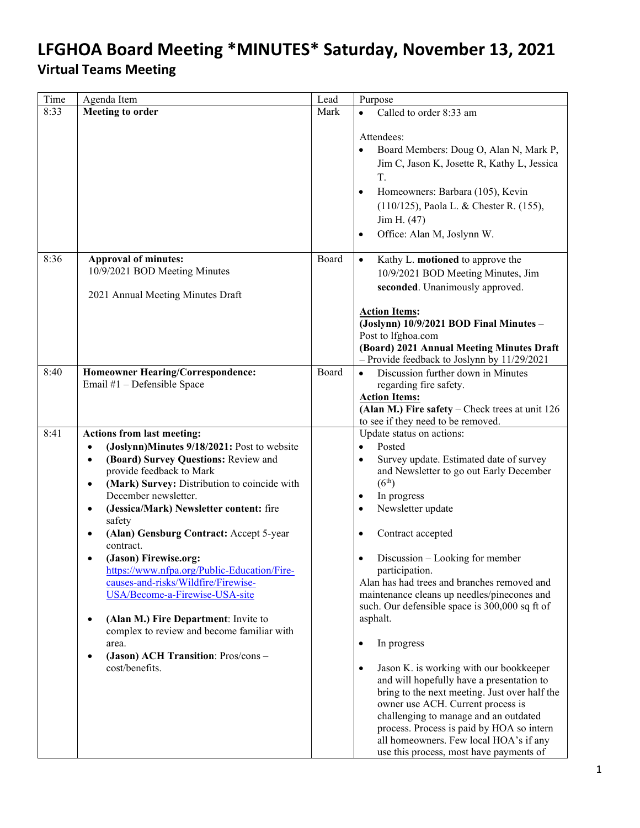| Time | Agenda Item                                                                                                                                                                                                                                                                                                                                                                                                                                                                                                                                                                                                                                                                                                                          | Lead  | Purpose                                                                                                                                                                                                                                                                                                                                                                                                                                                                                                                                                                                                                                                                                                                                                                                                                                                                                           |
|------|--------------------------------------------------------------------------------------------------------------------------------------------------------------------------------------------------------------------------------------------------------------------------------------------------------------------------------------------------------------------------------------------------------------------------------------------------------------------------------------------------------------------------------------------------------------------------------------------------------------------------------------------------------------------------------------------------------------------------------------|-------|---------------------------------------------------------------------------------------------------------------------------------------------------------------------------------------------------------------------------------------------------------------------------------------------------------------------------------------------------------------------------------------------------------------------------------------------------------------------------------------------------------------------------------------------------------------------------------------------------------------------------------------------------------------------------------------------------------------------------------------------------------------------------------------------------------------------------------------------------------------------------------------------------|
| 8:33 | <b>Meeting to order</b>                                                                                                                                                                                                                                                                                                                                                                                                                                                                                                                                                                                                                                                                                                              | Mark  | Called to order 8:33 am                                                                                                                                                                                                                                                                                                                                                                                                                                                                                                                                                                                                                                                                                                                                                                                                                                                                           |
|      |                                                                                                                                                                                                                                                                                                                                                                                                                                                                                                                                                                                                                                                                                                                                      |       | Attendees:<br>Board Members: Doug O, Alan N, Mark P,<br>$\bullet$<br>Jim C, Jason K, Josette R, Kathy L, Jessica<br>T.<br>Homeowners: Barbara (105), Kevin<br>$\bullet$<br>(110/125), Paola L. & Chester R. (155),<br>Jim H. (47)<br>Office: Alan M, Joslynn W.<br>$\bullet$                                                                                                                                                                                                                                                                                                                                                                                                                                                                                                                                                                                                                      |
| 8:36 | <b>Approval of minutes:</b>                                                                                                                                                                                                                                                                                                                                                                                                                                                                                                                                                                                                                                                                                                          | Board | Kathy L. motioned to approve the<br>$\bullet$                                                                                                                                                                                                                                                                                                                                                                                                                                                                                                                                                                                                                                                                                                                                                                                                                                                     |
|      | 10/9/2021 BOD Meeting Minutes                                                                                                                                                                                                                                                                                                                                                                                                                                                                                                                                                                                                                                                                                                        |       | 10/9/2021 BOD Meeting Minutes, Jim                                                                                                                                                                                                                                                                                                                                                                                                                                                                                                                                                                                                                                                                                                                                                                                                                                                                |
|      | 2021 Annual Meeting Minutes Draft                                                                                                                                                                                                                                                                                                                                                                                                                                                                                                                                                                                                                                                                                                    |       | seconded. Unanimously approved.                                                                                                                                                                                                                                                                                                                                                                                                                                                                                                                                                                                                                                                                                                                                                                                                                                                                   |
|      |                                                                                                                                                                                                                                                                                                                                                                                                                                                                                                                                                                                                                                                                                                                                      |       | <b>Action Items:</b><br>(Joslynn) 10/9/2021 BOD Final Minutes -<br>Post to lfghoa.com<br>(Board) 2021 Annual Meeting Minutes Draft<br>- Provide feedback to Joslynn by 11/29/2021                                                                                                                                                                                                                                                                                                                                                                                                                                                                                                                                                                                                                                                                                                                 |
| 8:40 | Homeowner Hearing/Correspondence:                                                                                                                                                                                                                                                                                                                                                                                                                                                                                                                                                                                                                                                                                                    | Board | Discussion further down in Minutes<br>$\bullet$                                                                                                                                                                                                                                                                                                                                                                                                                                                                                                                                                                                                                                                                                                                                                                                                                                                   |
|      | Email #1 - Defensible Space                                                                                                                                                                                                                                                                                                                                                                                                                                                                                                                                                                                                                                                                                                          |       | regarding fire safety.                                                                                                                                                                                                                                                                                                                                                                                                                                                                                                                                                                                                                                                                                                                                                                                                                                                                            |
|      |                                                                                                                                                                                                                                                                                                                                                                                                                                                                                                                                                                                                                                                                                                                                      |       | <b>Action Items:</b><br>$(Alan M.)$ Fire safety – Check trees at unit 126                                                                                                                                                                                                                                                                                                                                                                                                                                                                                                                                                                                                                                                                                                                                                                                                                         |
|      |                                                                                                                                                                                                                                                                                                                                                                                                                                                                                                                                                                                                                                                                                                                                      |       | to see if they need to be removed.                                                                                                                                                                                                                                                                                                                                                                                                                                                                                                                                                                                                                                                                                                                                                                                                                                                                |
| 8:41 | <b>Actions from last meeting:</b><br>(Joslynn)Minutes 9/18/2021: Post to website<br>$\bullet$<br>(Board) Survey Questions: Review and<br>$\bullet$<br>provide feedback to Mark<br>(Mark) Survey: Distribution to coincide with<br>$\bullet$<br>December newsletter.<br>(Jessica/Mark) Newsletter content: fire<br>$\bullet$<br>safety<br>(Alan) Gensburg Contract: Accept 5-year<br>$\bullet$<br>contract.<br>(Jason) Firewise.org:<br>https://www.nfpa.org/Public-Education/Fire-<br>causes-and-risks/Wildfire/Firewise-<br>USA/Become-a-Firewise-USA-site<br>(Alan M.) Fire Department: Invite to<br>٠<br>complex to review and become familiar with<br>area.<br>(Jason) ACH Transition: Pros/cons-<br>$\bullet$<br>cost/benefits. |       | Update status on actions:<br>Posted<br>$\bullet$<br>Survey update. Estimated date of survey<br>$\bullet$<br>and Newsletter to go out Early December<br>(6 <sup>th</sup> )<br>In progress<br>$\bullet$<br>Newsletter update<br>$\bullet$<br>Contract accepted<br>$\bullet$<br>Discussion – Looking for member<br>$\bullet$<br>participation.<br>Alan has had trees and branches removed and<br>maintenance cleans up needles/pinecones and<br>such. Our defensible space is 300,000 sq ft of<br>asphalt.<br>In progress<br>٠<br>Jason K. is working with our bookkeeper<br>$\bullet$<br>and will hopefully have a presentation to<br>bring to the next meeting. Just over half the<br>owner use ACH. Current process is<br>challenging to manage and an outdated<br>process. Process is paid by HOA so intern<br>all homeowners. Few local HOA's if any<br>use this process, most have payments of |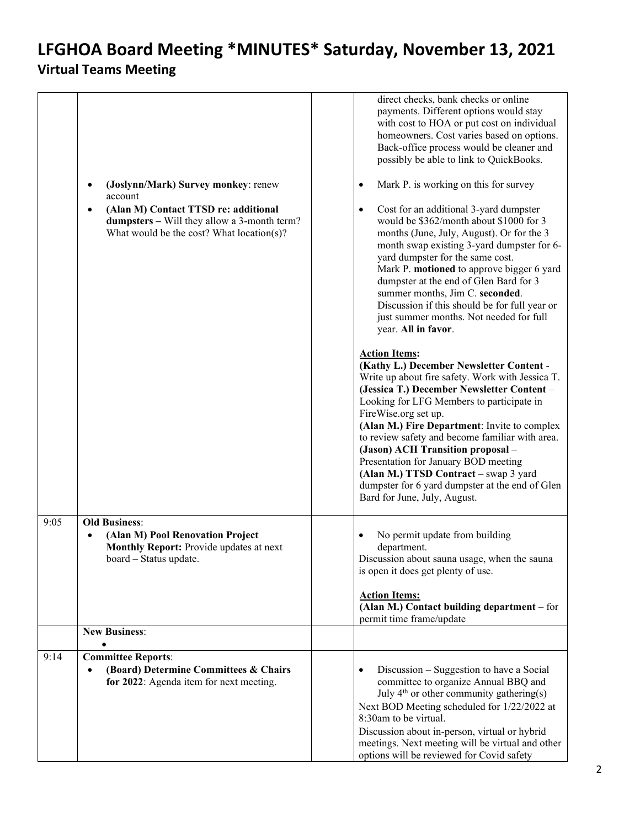|      | (Joslynn/Mark) Survey monkey: renew<br>٠<br>account<br>(Alan M) Contact TTSD re: additional<br>$\bullet$<br>dumpsters - Will they allow a 3-month term?<br>What would be the cost? What location(s)? | direct checks, bank checks or online<br>payments. Different options would stay<br>with cost to HOA or put cost on individual<br>homeowners. Cost varies based on options.<br>Back-office process would be cleaner and<br>possibly be able to link to QuickBooks.<br>Mark P. is working on this for survey<br>٠<br>Cost for an additional 3-yard dumpster<br>$\bullet$<br>would be \$362/month about \$1000 for 3<br>months (June, July, August). Or for the 3<br>month swap existing 3-yard dumpster for 6-<br>yard dumpster for the same cost.<br>Mark P. motioned to approve bigger 6 yard<br>dumpster at the end of Glen Bard for 3<br>summer months, Jim C. seconded.<br>Discussion if this should be for full year or |
|------|------------------------------------------------------------------------------------------------------------------------------------------------------------------------------------------------------|----------------------------------------------------------------------------------------------------------------------------------------------------------------------------------------------------------------------------------------------------------------------------------------------------------------------------------------------------------------------------------------------------------------------------------------------------------------------------------------------------------------------------------------------------------------------------------------------------------------------------------------------------------------------------------------------------------------------------|
|      |                                                                                                                                                                                                      | just summer months. Not needed for full<br>year. All in favor.<br><b>Action Items:</b><br>(Kathy L.) December Newsletter Content -<br>Write up about fire safety. Work with Jessica T.<br>(Jessica T.) December Newsletter Content -<br>Looking for LFG Members to participate in<br>FireWise.org set up.<br>(Alan M.) Fire Department: Invite to complex<br>to review safety and become familiar with area.<br>(Jason) ACH Transition proposal -<br>Presentation for January BOD meeting<br>(Alan M.) TTSD Contract - swap 3 yard<br>dumpster for 6 yard dumpster at the end of Glen<br>Bard for June, July, August.                                                                                                      |
| 9:05 | <b>Old Business:</b><br>(Alan M) Pool Renovation Project<br>Monthly Report: Provide updates at next<br>board – Status update.                                                                        | No permit update from building<br>department.<br>Discussion about sauna usage, when the sauna<br>is open it does get plenty of use.<br><b>Action Items:</b><br>(Alan M.) Contact building department - for<br>permit time frame/update                                                                                                                                                                                                                                                                                                                                                                                                                                                                                     |
|      | <b>New Business:</b>                                                                                                                                                                                 |                                                                                                                                                                                                                                                                                                                                                                                                                                                                                                                                                                                                                                                                                                                            |
| 9:14 | <b>Committee Reports:</b><br>(Board) Determine Committees & Chairs<br>$\bullet$<br>for 2022: Agenda item for next meeting.                                                                           | Discussion – Suggestion to have a Social<br>committee to organize Annual BBQ and<br>July $4th$ or other community gathering(s)<br>Next BOD Meeting scheduled for 1/22/2022 at<br>8:30am to be virtual.<br>Discussion about in-person, virtual or hybrid<br>meetings. Next meeting will be virtual and other<br>options will be reviewed for Covid safety                                                                                                                                                                                                                                                                                                                                                                   |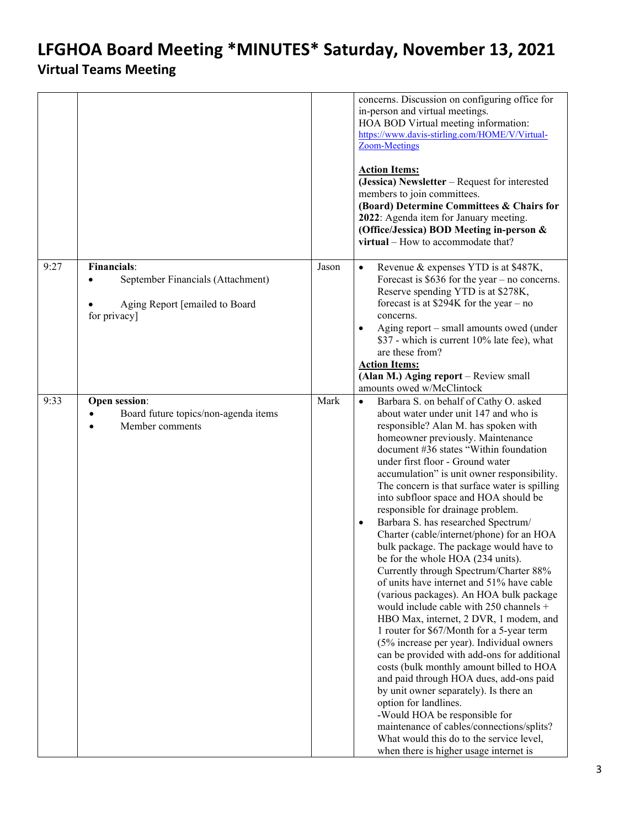## **LFGHOA Board Meeting \*MINUTES\* Saturday, November 13, 2021**

### **Virtual Teams Meeting**

<span id="page-2-0"></span>

|      |                                                                                                                        |       | concerns. Discussion on configuring office for<br>in-person and virtual meetings.<br>HOA BOD Virtual meeting information:<br>https://www.davis-stirling.com/HOME/V/Virtual-<br><b>Zoom-Meetings</b><br><b>Action Items:</b><br>(Jessica) Newsletter - Request for interested<br>members to join committees.<br>(Board) Determine Committees & Chairs for<br>2022: Agenda item for January meeting.<br>(Office/Jessica) BOD Meeting in-person &<br>virtual – How to accommodate that?                                                                                                                                                                                                                                                                                                                                                                                                                                                                                                                                                                                                                                                                                                                                                                                                                                 |
|------|------------------------------------------------------------------------------------------------------------------------|-------|----------------------------------------------------------------------------------------------------------------------------------------------------------------------------------------------------------------------------------------------------------------------------------------------------------------------------------------------------------------------------------------------------------------------------------------------------------------------------------------------------------------------------------------------------------------------------------------------------------------------------------------------------------------------------------------------------------------------------------------------------------------------------------------------------------------------------------------------------------------------------------------------------------------------------------------------------------------------------------------------------------------------------------------------------------------------------------------------------------------------------------------------------------------------------------------------------------------------------------------------------------------------------------------------------------------------|
| 9:27 | <b>Financials:</b><br>September Financials (Attachment)<br>$\bullet$<br>Aging Report [emailed to Board<br>for privacy] | Jason | Revenue & expenses YTD is at \$487K,<br>$\bullet$<br>Forecast is $$636$ for the year – no concerns.<br>Reserve spending YTD is at \$278K,<br>forecast is at $$294K$ for the year - no<br>concerns.<br>Aging report - small amounts owed (under<br>$\bullet$<br>\$37 - which is current 10% late fee), what<br>are these from?<br><b>Action Items:</b><br>(Alan M.) Aging report - Review small<br>amounts owed w/McClintock                                                                                                                                                                                                                                                                                                                                                                                                                                                                                                                                                                                                                                                                                                                                                                                                                                                                                          |
| 9:33 | Open session:<br>Board future topics/non-agenda items<br>Member comments                                               | Mark  | Barbara S. on behalf of Cathy O. asked<br>$\bullet$<br>about water under unit 147 and who is<br>responsible? Alan M. has spoken with<br>homeowner previously. Maintenance<br>document #36 states "Within foundation<br>under first floor - Ground water<br>accumulation" is unit owner responsibility.<br>The concern is that surface water is spilling<br>into subfloor space and HOA should be<br>responsible for drainage problem.<br>Barbara S. has researched Spectrum/<br>$\bullet$<br>Charter (cable/internet/phone) for an HOA<br>bulk package. The package would have to<br>be for the whole HOA (234 units).<br>Currently through Spectrum/Charter 88%<br>of units have internet and 51% have cable<br>(various packages). An HOA bulk package<br>would include cable with 250 channels +<br>HBO Max, internet, 2 DVR, 1 modem, and<br>1 router for \$67/Month for a 5-year term<br>(5% increase per year). Individual owners<br>can be provided with add-ons for additional<br>costs (bulk monthly amount billed to HOA<br>and paid through HOA dues, add-ons paid<br>by unit owner separately). Is there an<br>option for landlines.<br>-Would HOA be responsible for<br>maintenance of cables/connections/splits?<br>What would this do to the service level,<br>when there is higher usage internet is |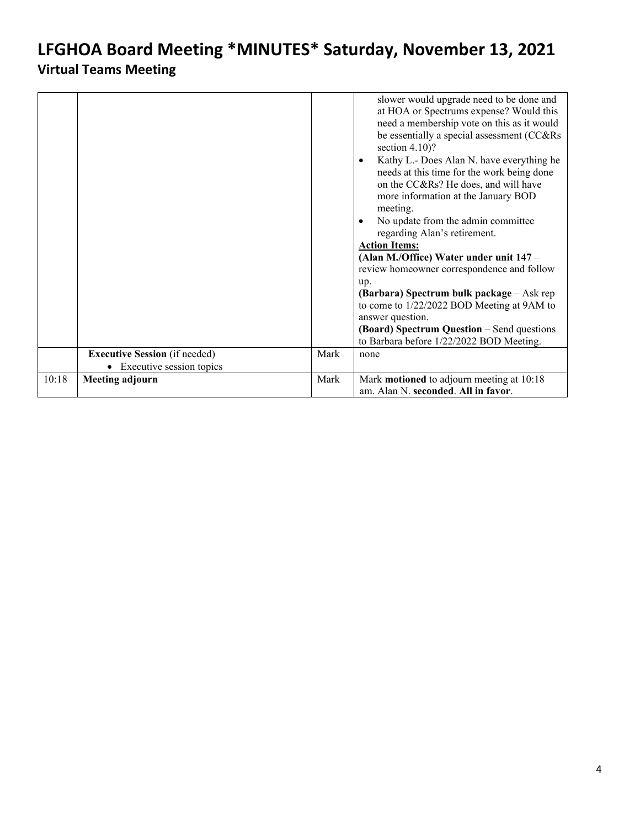# **LFGHOA Board Meeting \*MINUTES\* Saturday, November 13, 2021**

### **Virtual Teams Meeting**

|       |                                      |      | slower would upgrade need to be done and<br>at HOA or Spectrums expense? Would this<br>need a membership vote on this as it would<br>be essentially a special assessment (CC&Rs<br>section $4.10$ ?<br>Kathy L.- Does Alan N. have everything he<br>$\bullet$<br>needs at this time for the work being done<br>on the CC&Rs? He does, and will have<br>more information at the January BOD<br>meeting.<br>No update from the admin committee<br>regarding Alan's retirement.<br><b>Action Items:</b><br>(Alan M./Office) Water under unit 147 -<br>review homeowner correspondence and follow<br>up.<br>(Barbara) Spectrum bulk package – Ask rep<br>to come to 1/22/2022 BOD Meeting at 9AM to<br>answer question.<br>(Board) Spectrum Question - Send questions<br>to Barbara before 1/22/2022 BOD Meeting. |
|-------|--------------------------------------|------|---------------------------------------------------------------------------------------------------------------------------------------------------------------------------------------------------------------------------------------------------------------------------------------------------------------------------------------------------------------------------------------------------------------------------------------------------------------------------------------------------------------------------------------------------------------------------------------------------------------------------------------------------------------------------------------------------------------------------------------------------------------------------------------------------------------|
|       |                                      |      |                                                                                                                                                                                                                                                                                                                                                                                                                                                                                                                                                                                                                                                                                                                                                                                                               |
|       | <b>Executive Session</b> (if needed) | Mark | none                                                                                                                                                                                                                                                                                                                                                                                                                                                                                                                                                                                                                                                                                                                                                                                                          |
|       | Executive session topics             |      |                                                                                                                                                                                                                                                                                                                                                                                                                                                                                                                                                                                                                                                                                                                                                                                                               |
| 10:18 | <b>Meeting adjourn</b>               | Mark | Mark motioned to adjourn meeting at 10:18<br>am. Alan N. seconded. All in favor.                                                                                                                                                                                                                                                                                                                                                                                                                                                                                                                                                                                                                                                                                                                              |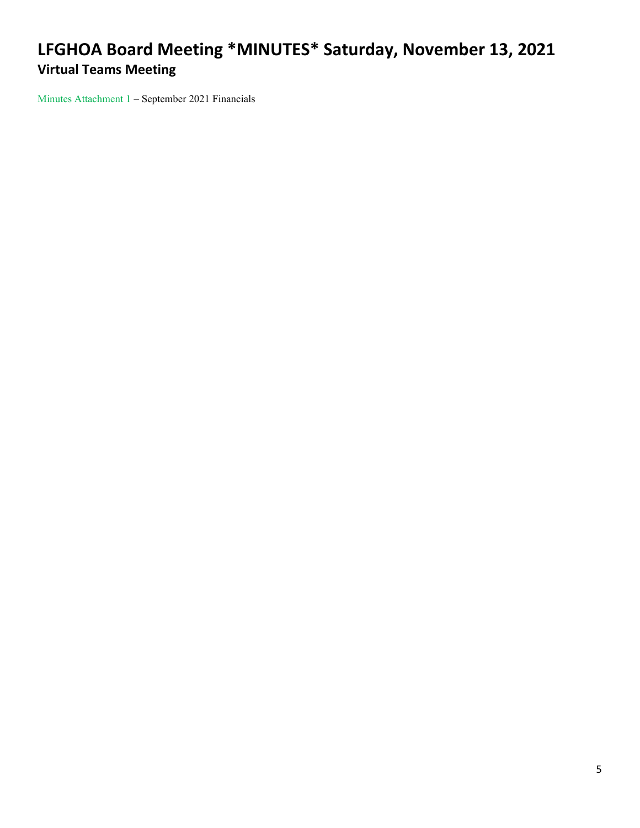Minutes Attachment 1 – September 2021 Financials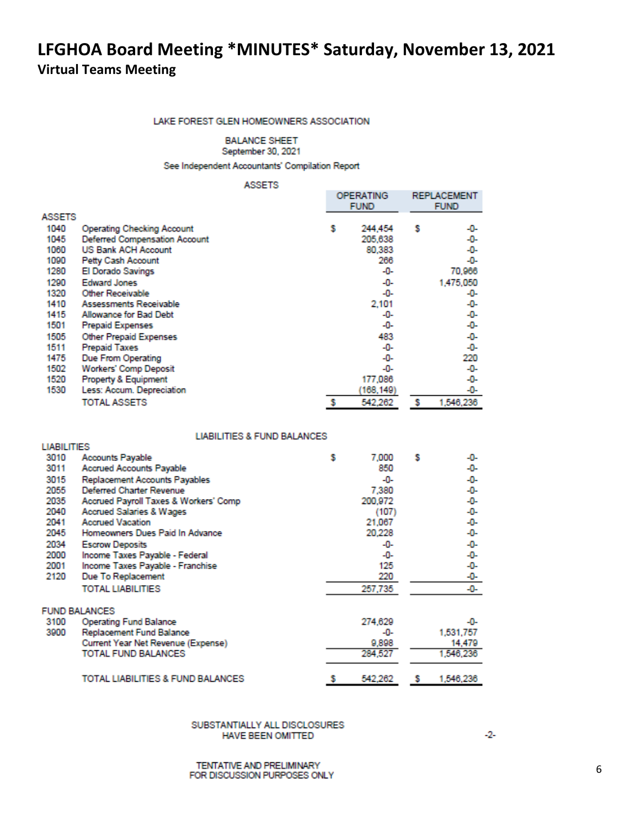#### LAKE FOREST GLEN HOMEOWNERS ASSOCIATION

**BALANCE SHEET** 

September 30, 2021

See Independent Accountants' Compilation Report

### **ASSETS**

| <b>ASSETS</b> |                                      | <b>OPERATING</b><br><b>FUND</b> |           |   | <b>REPLACEMENT</b><br><b>FUND</b> |
|---------------|--------------------------------------|---------------------------------|-----------|---|-----------------------------------|
| 1040          | <b>Operating Checking Account</b>    | s                               | 244,454   | s | -0-                               |
| 1045          | <b>Deferred Compensation Account</b> |                                 | 205,638   |   | -0-                               |
| 1060          | <b>US Bank ACH Account</b>           |                                 | 80,383    |   | -0-                               |
| 1090          |                                      |                                 |           |   | -0-                               |
|               | Petty Cash Account                   |                                 | 266       |   |                                   |
| 1280          | El Dorado Savings                    |                                 | -0-       |   | 70,966                            |
| 1290          | <b>Edward Jones</b>                  |                                 | -0-       |   | 1,475,050                         |
| 1320          | Other Receivable                     |                                 | -0-       |   | -0-                               |
| 1410          | Assessments Receivable               |                                 | 2,101     |   | -0-                               |
| 1415          | Allowance for Bad Debt               |                                 | -0-       |   | -0-                               |
| 1501          | <b>Prepaid Expenses</b>              |                                 | -0-       |   | -0-                               |
| 1505          | Other Prepaid Expenses               |                                 | 483       |   | -0-                               |
| 1511          | <b>Prepaid Taxes</b>                 |                                 | -0-       |   | -0-                               |
| 1475          | Due From Operating                   |                                 | -0-       |   | 220                               |
| 1502          | <b>Workers' Comp Deposit</b>         |                                 | -0-       |   | -0-                               |
| 1520          | Property & Equipment                 |                                 | 177,086   |   | -0-                               |
| 1530          | Less: Accum. Depreciation            |                                 | (168,149) |   | -0-                               |
|               | <b>TOTAL ASSETS</b>                  |                                 | 542,262   | s | 1,546,236                         |

### **LIABILITIES & FUND BALANCES**

| <b>LIABILITIES</b> |                                       |   |         |   |           |
|--------------------|---------------------------------------|---|---------|---|-----------|
| 3010               | <b>Accounts Payable</b>               | s | 7,000   | s | -0-       |
| 3011               | <b>Accrued Accounts Payable</b>       |   | 850     |   | -0-       |
| 3015               | Replacement Accounts Payables         |   | -0-     |   | -0-       |
| 2055               | Deferred Charter Revenue              |   | 7,380   |   | -0-       |
| 2035               | Accrued Payroll Taxes & Workers' Comp |   | 200,972 |   | -0-       |
| 2040               | <b>Accrued Salaries &amp; Wages</b>   |   | (107)   |   | -0-       |
| 2041               | <b>Accrued Vacation</b>               |   | 21,067  |   | -0-       |
| 2045               | Homeowners Dues Paid In Advance       |   | 20,228  |   | -0-       |
| 2034               | <b>Escrow Deposits</b>                |   | -0-     |   | -0-       |
| 2000               | Income Taxes Payable - Federal        |   | -0-     |   | -0-       |
| 2001               | Income Taxes Payable - Franchise      |   | 125     |   | -0-       |
| 2120               | Due To Replacement                    |   | 220     |   | -0-       |
|                    | <b>TOTAL LIABILITIES</b>              |   | 257,735 |   | -0-       |
|                    | <b>FUND BALANCES</b>                  |   |         |   |           |
| 3100               | Operating Fund Balance                |   | 274,629 |   | -0-       |
| 3900               | Replacement Fund Balance              |   | -0-     |   | 1,531,757 |
|                    | Current Year Net Revenue (Expense)    |   | 9,898   |   | 14,479    |
|                    | <b>TOTAL FUND BALANCES</b>            |   | 284,527 |   | 1,546,236 |
|                    | TOTAL LIABILITIES & FUND BALANCES     |   | 542,262 | s | 1,546,236 |

SUBSTANTIALLY ALL DISCLOSURES HAVE BEEN OMITTED

 $-2-$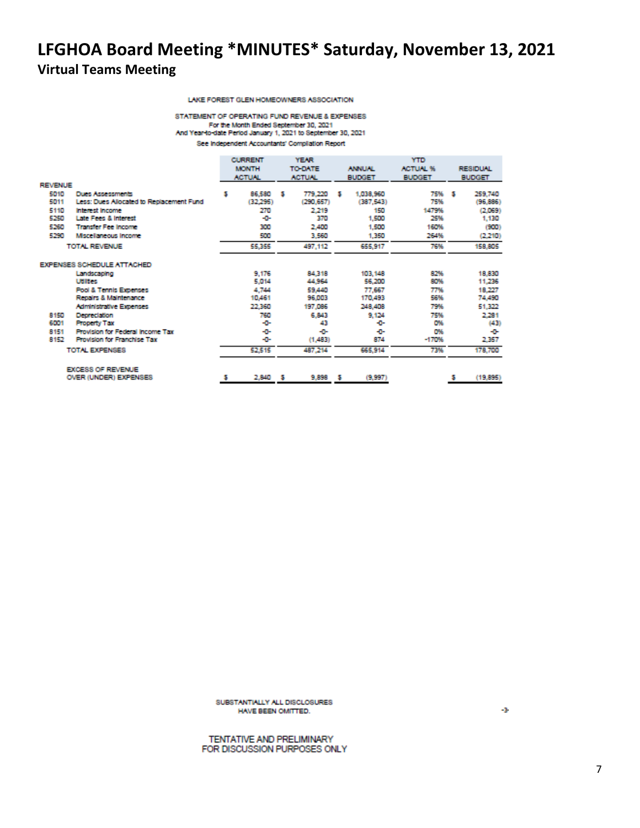#### LAKE FOREST GLEN HOMEOWNERS ASSOCIATION

STATEMENT OF OPERATING FUND REVENUE & EXPENSES For the Month Ended September 30, 2021 And Year-to-date Period January 1, 2021 to September 30, 2021 See Independent Accountants' Compilation Report

|                |                                          |   | <b>CURRENT</b> |     | <b>YEAR</b>    |   |                                  | <b>YTD</b>    |                 |
|----------------|------------------------------------------|---|----------------|-----|----------------|---|----------------------------------|---------------|-----------------|
|                |                                          |   | <b>MONTH</b>   |     | <b>TO DATE</b> |   | <b>ACTUAL %</b><br><b>ANNUAL</b> |               | <b>RESIDUAL</b> |
|                |                                          |   | <b>ACTUAL</b>  |     | <b>ACTUAL</b>  |   | <b>BUDGET</b>                    | <b>BUDGET</b> | <b>BUDGET</b>   |
| <b>REVENUE</b> |                                          |   |                |     |                |   |                                  |               |                 |
| 5010           | <b>Dues Assessments</b>                  | 5 | 86,580         | - 5 | 779.220        | 5 | 1.038.960                        | 75% \$        | 259,740         |
| 5011           | Less: Dues Allocated to Replacement Fund |   | (32,295)       |     | (290, 657)     |   | (387,543)                        | 75%           | (96, 886)       |
| 5110           | <b>Interest Income</b>                   |   | 270            |     | 2.219          |   | 150                              | 1479%         | (2.069)         |
| 5250           | Late Fees & Interest                     |   | -0-            |     | 370            |   | 1,500                            | 25%           | 1,130           |
| 5260           | <b>Transfer Fee Income</b>               |   | 300            |     | 2,400          |   | 1,500                            | 160%          | (900)           |
| 5290           | Mscellaneous Income                      |   | 500            |     | 3,560          |   | 1,350                            | 264%          | (2,210)         |
|                | TOTAL REVENUE                            |   | 55,355         |     | 497.112        |   | 655,917                          | 76%           | 158,805         |
|                | EXPENSES SCHEDULE ATTACHED               |   |                |     |                |   |                                  |               |                 |
|                | Landscaping                              |   | 9.176          |     | 84,318         |   | 103,148                          | 82%           | 18,830          |
|                | <b>Utilities</b>                         |   | 5,014          |     | 44,964         |   | 56,200                           | 80%           | 11,235          |
|                | <b>Pool &amp; Tennis Expenses</b>        |   | 4.744          |     | 59,440         |   | 77,667                           | 77%           | 18,227          |
|                | Repairs & Maintenance                    |   | 10,461         |     | 96,003         |   | 170,493                          | 56%           | 74,490          |
|                | Administrative Expenses                  |   | 22,360         |     | 197,086        |   | 248,408                          | 79%           | 51,322          |
| 8150           | Depreciation                             |   | 760            |     | 6,843          |   | 9.124                            | 75%           | 2.281           |
| 6001           | <b>Property Tax</b>                      |   | -0-            |     | 43             |   | ÷                                | O%            | (43)            |
| 8151           | Provision for Federal Income Tax         |   | -0-            |     | ÷              |   | ÷                                | O%            | ÷               |
| 8152           | <b>Provision for Franchise Tax</b>       |   | -0-            |     | (1,483)        |   | 874                              | $-170%$       | 2,357           |
|                | TOTAL EXPENSES                           |   | 52.515         |     | 487,214        |   | 665,914                          | 73%           | 178,700         |
|                | <b>EXCESS OF REVENUE</b>                 |   |                |     |                |   |                                  |               |                 |
|                | OVER (UNDER) EXPENSES                    |   | 2,840          | - 5 | $9,898$ \$     |   | (9,997)                          |               | (19, 895)       |

SUBSTANTIALLY ALL DISCLOSURES HAVE BEEN OMITTED.

43

TENTATIVE AND PRELIMINARY FOR DISCUSSION PURPOSES ONLY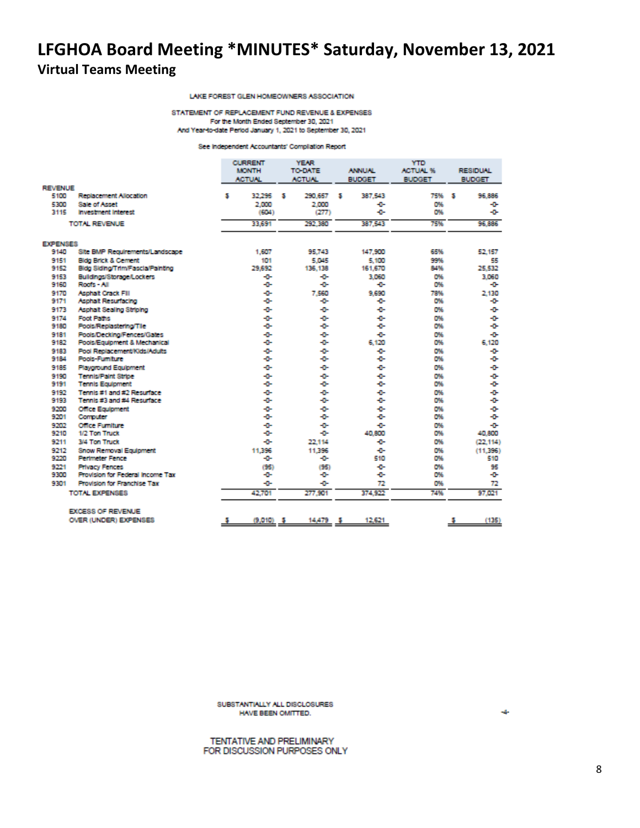### LAKE FOREST GLEN HOMEOWNERS ASSOCIATION

STATEMENT OF REPLACEMENT FUND REVENUE & EXPENSES For the Month Ended September 30, 2021 And Year-to-date Period January 1, 2021 to September 30, 2021

See Independent Accountants' Compilation Report

|                 |                                    | <b>CURRENT</b><br><b>MONTH</b><br><b>ACTUAL</b> | <b>YEAR</b><br>TO DATE<br><b>ACTUAL</b> | <b>ANNUAL</b><br><b>BUDGET</b> | <b>YTD</b><br><b>ACTUAL %</b><br><b>BUDGET</b> | <b>RESIDUAL</b><br><b>BUDGET</b> |
|-----------------|------------------------------------|-------------------------------------------------|-----------------------------------------|--------------------------------|------------------------------------------------|----------------------------------|
| <b>REVENUE</b>  |                                    |                                                 |                                         |                                |                                                |                                  |
| 5100            | Replacement Allocation             | 32.295<br>5                                     | 290.657<br>з                            | 387.543<br>м                   | 75% 5                                          | 96.886                           |
| 5300            | <b>Sale of Asset</b>               | 2,000                                           | 2,000                                   | ÷                              | O%                                             | ÷                                |
| 3115            | <b>Investment Interest</b>         | (604)                                           | (277)                                   | ÷D-                            | O%                                             | ÷                                |
|                 | TOTAL REVENUE                      | 33,691                                          | 292.380                                 | 387.543                        | 75%                                            | 96.886                           |
| <b>EXPENSES</b> |                                    |                                                 |                                         |                                |                                                |                                  |
| 9140            | Site BMP Requirements/Landscape    | 1,607                                           | 95.743                                  | 147,900                        | 65%                                            | 52.157                           |
| 9151            | <b>Bidg Brick &amp; Cement</b>     | 101                                             | 5.045                                   | 5.100                          | 99%                                            | 55                               |
| 9152            | Bidg Siding/Trim/Fascia/Painting   | 29,692                                          | 136.138                                 | 161,670                        | 84%                                            | 25,532                           |
| 9153            | Buildings/Storage/Lockers          | -0-                                             | -0-                                     | 3.060                          | D%                                             | 3.060                            |
| 9160            | Roofs - All                        | -0-                                             | ÷                                       | ÷                              | D%                                             | ÷                                |
| 9170            | Asphalt Crack Fill                 | -0-                                             | 7.560                                   | 9.690                          | 78%                                            | 2.130                            |
| 9171            | Asphalt Resurfacing                | -0-                                             | -0-                                     | ÷D-                            | O%                                             | ÷                                |
| 9173            | Asphalt Sealing Striping           | ÷ū-                                             | -0-                                     | ÷D-                            | D%                                             | ÷                                |
| 9174            | <b>Foot Paths</b>                  | ÷                                               | ÷                                       | ÷                              | D%                                             | ÷                                |
| 9180            | Pools/Replastering/Tile            | -0-                                             | ÷                                       | ÷                              | D%                                             | ÷                                |
| 9181            | Pools/Decking/Fences/Gates         | -0-                                             | ÷                                       | ÷                              | D%                                             | ÷                                |
| 9182            | Pools/Equipment & Mechanical       | -0-                                             | ÷                                       | 6.120                          | O%                                             | 6.120                            |
| 9183            | Pool Replacement/Kids/Adults       | -0-                                             | ÷                                       | ÷                              | D%                                             | ÷                                |
| 9184            | Pools-Fumiture                     | -0-                                             | ÷.                                      | ÷                              | O%                                             | ÷                                |
| 9185            | <b>Playground Equipment</b>        | -0-                                             | ÷                                       | ÷                              | O%                                             | ÷                                |
| 9190            | <b>Tennis/Paint Stripe</b>         | -0-                                             | -0-                                     | ÷                              | D%                                             | ÷                                |
| 9191            | <b>Tennis Equipment</b>            | -0-                                             | ÷                                       | ÷D-                            | O%                                             | ÷œ                               |
| 9192            | Tennis #1 and #2 Resurface         | ÷0-                                             | ÷œ                                      | ÷D-                            | O%                                             | ÷                                |
| 9193            | Tennis #3 and #4 Resurface         | -0-                                             | -0-                                     | ÷D-                            | O%                                             | ÷œ                               |
| 9200            | <b>Office Equipment</b>            | -0-                                             | -0-                                     | ÷D-                            | O%                                             | ÷                                |
| 9201            | Computer                           | -0-                                             | ÷                                       | ÷                              | O%                                             | ÷                                |
| 9202            | <b>Office Fumiliare</b>            | -0-                                             | ۰0-                                     | ÷                              | O%                                             | ÷                                |
| 9210            | 1/2 Ton Truck                      | -0-                                             | ÷D-                                     | 40.800                         | D%                                             | 40.800                           |
| 9211            | 3/4 Ton Truck                      | -0-                                             | 22.114                                  | ÷                              | D%                                             | (22.114)                         |
| 9212            | <b>Snow Removal Equipment</b>      | 11,396                                          | 11,396                                  | ÷D-                            | O%                                             | (11.396)                         |
| 9220            | <b>Perimeter Fence</b>             | -0-                                             | ÷                                       | 510                            | O%                                             | 510                              |
| 9221            | <b>Frivacy Fences</b>              | (95)                                            | (95)                                    | ÷                              | D%                                             | 95                               |
| 9300            | Provision for Federal Income Tax   | -0-                                             | -0-                                     | ÷                              | D%                                             | ÷                                |
| 9301            | <b>Provision for Franchise Tax</b> | -0-                                             | ۰۵                                      | 72                             | O%                                             | 72                               |
|                 | TOTAL EXPENSES                     | 42,701                                          | 277.901                                 | 374,922                        | 74%                                            | 97.021                           |
|                 | EXCESS OF REVENUE                  |                                                 |                                         |                                |                                                |                                  |
|                 | OVER (UNDER) EXPENSES              | (9,010)<br>-5                                   | 14,479<br>-5                            | 12,621<br>ъ                    |                                                | (135)<br>-5                      |

SUBSTANTIALLY ALL DISCLOSURES HAVE BEEN OMITTED.

 $\sim$ 

TENTATIVE AND PRELIMINARY FOR DISCUSSION PURPOSES ONLY

8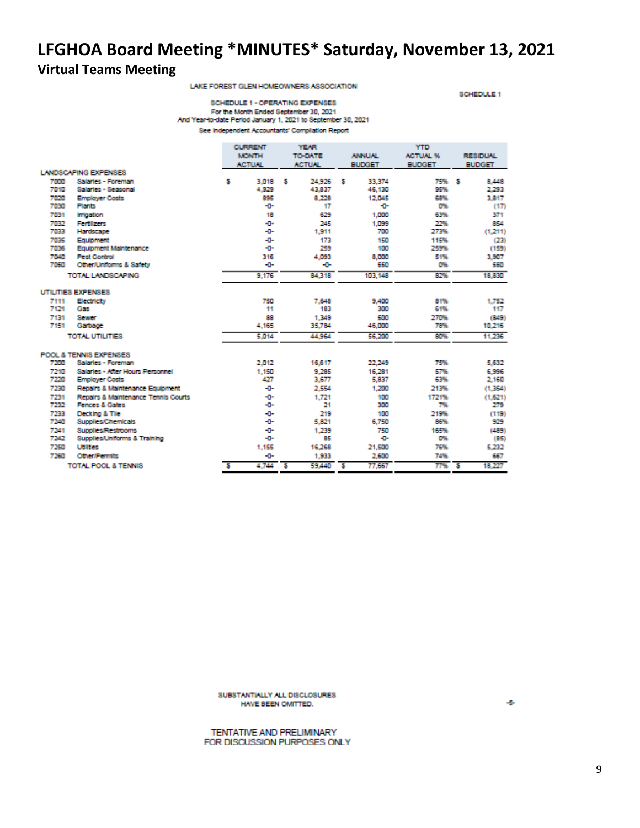# **LFGHOA Board Meeting \*MINUTES\* Saturday, November 13, 2021**

### **Virtual Teams Meeting**

LAKE FOREST GLEN HOMEOWNERS ASSOCIATION

SCHEDULE 1

SCHEDULE 1 - OPERATING EXPENSES For the Month Ended September 30, 2021 And Year-to-date Period January 1, 2021 to September 30, 2021 See Independent Accountants' Compilation Report

|      |                                     |   | <b>CURRENT</b> |   | <b>YEAR</b>    |                          | <b>YTD</b>                       |               |     |                 |
|------|-------------------------------------|---|----------------|---|----------------|--------------------------|----------------------------------|---------------|-----|-----------------|
|      |                                     |   | <b>MONTH</b>   |   | <b>TO-DATE</b> |                          | <b>ACTUAL %</b><br><b>ANNUAL</b> |               |     | <b>RESIDUAL</b> |
|      |                                     |   | <b>ACTUAL</b>  |   | <b>ACTUN.</b>  | <b>BUDGET</b>            |                                  | <b>BUDGET</b> |     | <b>BUDGET</b>   |
|      | LANDSCAPING EXPENSES                |   |                |   |                |                          |                                  |               |     |                 |
| 7000 | Salaries - Foreman                  | 5 | 3.018          | s | 24.926         | 5                        | 33,374                           | 75%           | - 5 | 8,448           |
| 7010 | Salaries - Seasonal                 |   | 4,929          |   | 43,837         |                          | 46,130                           | 95%           |     | 2.293           |
| 7020 | <b>Employer Costs</b>               |   | 895            |   | 8,228          |                          | 12,045                           | 68%           |     | 3,817           |
| 7030 | Plants                              |   | -0-            |   | 17             |                          | -0-                              | D%            |     | (17)            |
| 7031 | <b>Impation</b>                     |   | 18             |   | 629            |                          | 1,000                            | 63%           |     | 371             |
| 7032 | Fertilizers                         |   | -0-            |   | 245            |                          | 1.099                            | 22%           |     | 854             |
| 7033 | Hardscape                           |   | -0-            |   | 1.911          |                          | 700                              | 273%          |     | (1,211)         |
| 7035 | Equipment                           |   | -0-            |   | 173            |                          | 150                              | 115%          |     | (23)            |
| 7036 | Equipment Maintenance               |   | -0-            |   | 259            |                          | 100                              | 259%          |     | (159)           |
| 7040 | <b>Pest Control</b>                 |   | 316            |   | 4,093          |                          | 8,000                            | 51%           |     | 3,907           |
| 7050 | Other/Uniforms & Safety             |   | -0-            |   | -0-            |                          | 550                              | D%            |     | 550             |
|      | TOTAL LANDSCAPING                   |   | 9.176          |   | 84.318         |                          | 103,148                          | 82%           |     | 18,830          |
|      | UTILITIES EXPENSES                  |   |                |   |                |                          |                                  |               |     |                 |
| 7111 | Electricity                         |   | 750            |   | 7,648          |                          | 9,400                            | 81%           |     | 1.752           |
| 7121 | Gas                                 |   | 11             |   | 183            |                          | 300                              | 61%           |     | 117             |
| 7131 | Sewer                               |   | 88             |   | 1,349          |                          | 500                              | 270%          |     | (849)           |
| 7151 | Garbage                             |   | 4,165          |   | 35,784         |                          | 46,000                           | 78%           |     | 10,216          |
|      | TOTAL UTILITIES                     |   | 5.014          |   | 44,964         |                          | 56,200                           | 80%           |     | 11.235          |
|      | POOL & TENNIS EXPENSES              |   |                |   |                |                          |                                  |               |     |                 |
| 7200 | Salaries - Foreman                  |   | 2.012          |   | 16,617         |                          | 22,249                           | 75%           |     | 5,632           |
| 7210 | Salaries - After Hours Personnel    |   | 1,150          |   | 9.285          |                          | 16,281                           | 57%           |     | 6,996           |
| 7220 | <b>Employer Costs</b>               |   | 427            |   | 3,677          |                          | 5,837                            | 63%           |     | 2,160           |
| 7230 | Repairs & Maintenance Equipment     |   | -0-            |   | 2.554          |                          | 1,200                            | 213%          |     | (1,354)         |
| 7231 | Repairs & Maintenance Tennis Courts |   | -0-            |   | 1.721          |                          | 100                              | 1721%         |     | (1,621)         |
| 7232 | Fences & Gates                      |   | -0-            |   | 21             |                          | 300                              | 7%            |     | 279             |
| 7233 | Decking & Tile                      |   | -0-            |   | 219            |                          | 100                              | 219%          |     | (119)           |
| 7240 | Supplies/Chemicals                  |   | -0-            |   | 5,821          |                          | 6.750                            | 86%           |     | 929             |
| 7241 | <b>Supplies/Restrooms</b>           |   | -0-            |   | 1,239          |                          | 750                              | 165%          |     | (489)           |
| 7242 | Supplies/Uniforms & Training        |   | -0-            |   | 85             |                          | -0-                              | 0%            |     | (85)            |
| 7250 | <b>Utilities</b>                    |   | 1,155          |   | 16,268         |                          | 21,500                           | 76%           |     | 5.232           |
| 7260 | <b>Other/Permits</b>                |   | -0-            |   | 1,933          |                          | 2,600                            | 74%           |     | 657             |
|      | <b>TOTAL POOL &amp; TENNIS</b>      | 5 | 4,744          | s | 59,440         | $\overline{\phantom{a}}$ | 77,667                           | 77%           | -5  | 18,227          |

SUBSTANTIALLY ALL DISCLOSURES HAVE BEEN OMITTED.

TENTATIVE AND PRELIMINARY FOR DISCUSSION PURPOSES ONLY ÷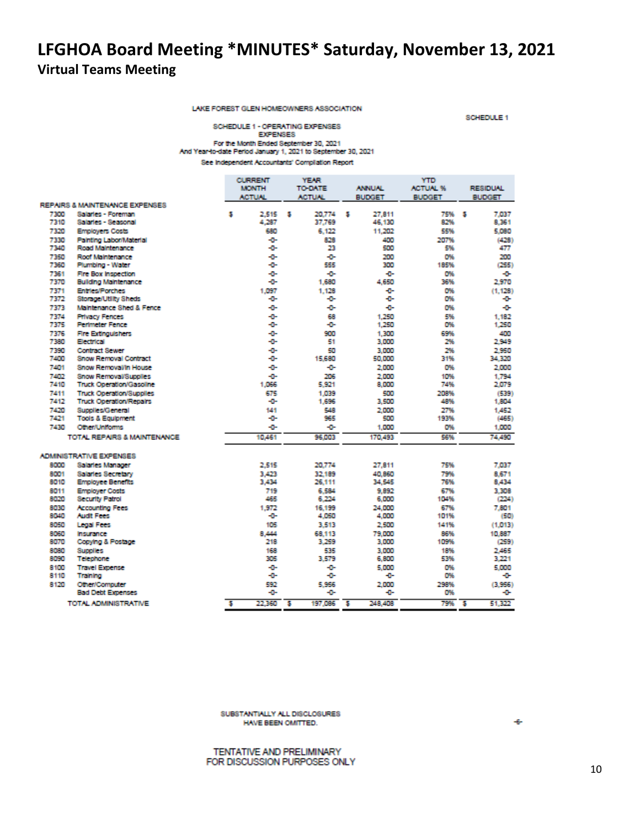LAKE FOREST GLEN HOMEOWNERS ASSOCIATION

SCHEDULE 1

#### SCHEDULE 1 - OPERATING EXPENSES **EXPENSES** For the Month Ended September 30, 2021 And Year-to-date Period January 1, 2021 to September 30, 2021 See Independent Accountants' Compilation Report

|              |                                 |   | <b>CURRENT</b> |   | YEAR           |   |               | YTD             |   |                 |
|--------------|---------------------------------|---|----------------|---|----------------|---|---------------|-----------------|---|-----------------|
|              |                                 |   | <b>MONTH</b>   |   | <b>TO-DATE</b> |   | <b>ANNUAL</b> | <b>ACTUAL %</b> |   | <b>RESIDUAL</b> |
|              |                                 |   | <b>ACTUM</b>   |   | <b>ACTUN</b>   |   | <b>BUDGET</b> | <b>BUDGET</b>   |   | <b>BUDGET</b>   |
|              | REPAIRS & MAINTENANCE EXPENSES  |   |                |   |                |   |               |                 |   |                 |
| 7300         | Salaries - Foreman              | 5 | 2.515          | 5 | 20,774         | 5 | 27.811        | 75%             | 5 | 7.037           |
| 7310         | Salaries - Seasonal             |   | 4.287          |   | 37.769         |   | 46.130        | 82%             |   | 8.361           |
| 7320         | <b>Employers Costs</b>          |   | 680            |   | 6.122          |   | 11,202        | 55%             |   | 5.080           |
| 7330         | Painting Labor/Material         |   | -0-            |   | 828            |   | 400           | 207%            |   | (428)           |
| 7340         | Road Maintenance                |   | -0-            |   | 23             |   | 500           | 5%              |   | 477             |
| 7350         | Roof Maintenance                |   | -0-            |   | ÷              |   | 200           | O%              |   | 200             |
| 7360         | Plumbing - Water                |   | ÷              |   | 555            |   | 300           | 185%            |   | (255)           |
| 7361         | Fire Box Inspection             |   | -0-            |   | ÷              |   | ÷             | O%              |   | ÷               |
| 7370         | <b>Building Maintenance</b>     |   | -0-            |   | 1,680          |   | 4.650         | 36%             |   | 2.970           |
| 7371         | <b>Entries/Porches</b>          |   | 1,097          |   | 1.128          |   | ÷             | O%              |   | (1.128)         |
| 7372         | Storage/Utility Sheds           |   | -0-            |   | ÷              |   | ÷             | O%              |   | -0-             |
| 7373         | Maintenance Shed & Fence        |   | -0-            |   | ÷              |   | ÷             | O%              |   | -0-             |
|              |                                 |   |                |   |                |   |               |                 |   |                 |
| 7374         | <b>Privacy Fences</b>           |   | -0-            |   | 68             |   | 1.250         | 5%              |   | 1.182           |
| 7375         | <b>Perimeter Fence</b>          |   | -0-            |   | -0-            |   | 1,250         | O%              |   | 1.250           |
| 7376         | <b>Fire Extinguishers</b>       |   | -0-            |   | 900            |   | 1.300         | 69%             |   | 400             |
| 7380         | Electrical                      |   | -0-            |   | 51             |   | 3,000         | 2%              |   | 2.949           |
| 7390         | <b>Contract Sewer</b>           |   | -0-            |   | 50             |   | 3,000         | 2%              |   | 2.950           |
| 7400         | <b>Snow Removal Contract</b>    |   | -0-            |   | 15,680         |   | 50,000        | 31%             |   | 34,320          |
| 7401         | Snow Removal/In House           |   | -0-            |   | ÷              |   | 2,000         | O%              |   | 2,000           |
| 7402         | <b>Snow Removal/Supplies</b>    |   | -0-            |   | 206            |   | 2,000         | 10%             |   | 1.794           |
| 7410         | <b>Truck Operation/Gasoline</b> |   | 1,066          |   | 5.921          |   | 8,000         | 74%             |   | 2.079           |
| 7411         | <b>Truck Operation/Supplies</b> |   | 675            |   | 1.039          |   | 500           | 208%            |   | (539)           |
| 7412         | <b>Truck Operation/Repairs</b>  |   | -0-            |   | 1,696          |   | 3,500         | 48%             |   | 1,804           |
| 7420         | Supplies/General                |   | 141            |   | 548            |   | 2,000         | 27%             |   | 1,452           |
| 7421         | <b>Tools &amp; Equipment</b>    |   | ÷              |   | 965            |   | 500           | 193%            |   | (465)           |
| 7430         | Other/Uniforms                  |   | -0-            |   | ÷              |   | 1,000         | O%              |   | 1,000           |
|              | TOTAL REPAIRS & MAINTENANCE     |   | 10,461         |   | 96,003         |   | 170,493       | 56%             |   | 74,490          |
|              |                                 |   |                |   |                |   |               |                 |   |                 |
|              | <b>ADMINISTRATIVE EXPENSES</b>  |   |                |   |                |   |               |                 |   |                 |
| 8000         | Salaries Manager                |   | 2.515          |   | 20,774         |   | 27.811        | 75%             |   | 7.037           |
| 8001         | <b>Salaries Secretary</b>       |   | 3.423          |   | 32.189         |   | 40,860        | 79%             |   | 8.671           |
| 8010         | <b>Employee Benefits</b>        |   | 3,434          |   | 26,111         |   | 34,545        | 76%             |   | 8.434           |
|              |                                 |   |                |   |                |   |               | 67%             |   |                 |
| 8011<br>8020 | <b>Employer Costs</b>           |   | 719<br>465     |   | 6.584          |   | 9.892         | 104%            |   | 3.308           |
|              | <b>Security Patrol</b>          |   |                |   | 6.224          |   | 6,000         |                 |   | (224)           |
| 8030         | <b>Accounting Fees</b>          |   | 1.972          |   | 16.199         |   | 24,000        | 67%             |   | 7,801           |
| 8040         | <b>Audit Fees</b>               |   | -0-            |   | 4,050          |   | 4,000         | 101%            |   | (50)            |
| 8050         | <b>Legal Fees</b>               |   | 105            |   | 3,513          |   | 2,500         | 141%            |   | (1,013)         |
| 8060         | Insurance                       |   | 8.444          |   | 68.113         |   | 79,000        | 86%             |   | 10,887          |
| 8070         | Copying & Postage               |   | 218            |   | 3.259          |   | 3,000         | 109%            |   | (259)           |
| 8080         | Supplies                        |   | 168            |   | 535            |   | 3,000         | 18%             |   | 2,465           |
| 8090         | Telephone                       |   | 305            |   | 3.579          |   | 6,800         | 53%             |   | 3.221           |
| 8100         | <b>Travel Expense</b>           |   | -0-            |   | ÷              |   | 5.000         | O%              |   | 5,000           |
| 8110         | Training                        |   | -0-            |   | -0-            |   | ÷             | O%              |   | -0-             |
| 8120         | Other/Computer                  |   | 592            |   | 5,956          |   | 2,000         | 298%            |   | (3.956)         |
|              | <b>Bad Debt Expenses</b>        |   | -0-            |   | ÷              |   | ÷             | O%              |   | ÷               |
|              | TOTAL ADMINISTRATIVE            | 5 | 22.360         | s | 197,086        | 5 | 248,408       | 79%             | 5 | 51,322          |
|              |                                 |   |                |   |                |   |               |                 |   |                 |

SUBSTANTIALLY ALL DISCLOSURES HAVE BEEN OMITTED.

TENTATIVE AND PRELIMINARY FOR DISCUSSION PURPOSES ONLY  $+6-$